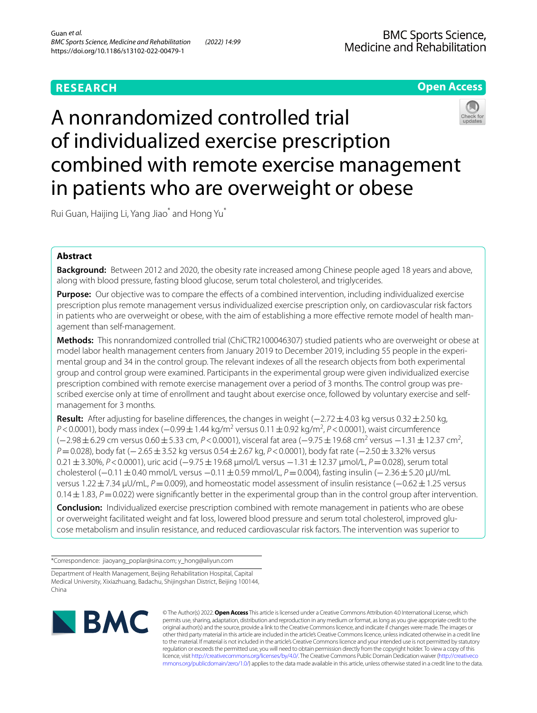# **Open Access**

# A nonrandomized controlled trial of individualized exercise prescription combined with remote exercise management in patients who are overweight or obese

Rui Guan, Haijing Li, Yang Jiao\* and Hong Yu\*

## **Abstract**

**Background:** Between 2012 and 2020, the obesity rate increased among Chinese people aged 18 years and above, along with blood pressure, fasting blood glucose, serum total cholesterol, and triglycerides.

**Purpose:** Our objective was to compare the effects of a combined intervention, including individualized exercise prescription plus remote management versus individualized exercise prescription only, on cardiovascular risk factors in patients who are overweight or obese, with the aim of establishing a more efective remote model of health management than self-management.

**Methods:** This nonrandomized controlled trial (ChiCTR2100046307) studied patients who are overweight or obese at model labor health management centers from January 2019 to December 2019, including 55 people in the experimental group and 34 in the control group. The relevant indexes of all the research objects from both experimental group and control group were examined. Participants in the experimental group were given individualized exercise prescription combined with remote exercise management over a period of 3 months. The control group was prescribed exercise only at time of enrollment and taught about exercise once, followed by voluntary exercise and selfmanagement for 3 months.

**Result:** After adjusting for baseline differences, the changes in weight (−2.72 ± 4.03 kg versus 0.32 ± 2.50 kg, *P*<0.0001), body mass index (−0.99±1.44 kg/m<sup>2</sup> versus 0.11±0.92 kg/m<sup>2</sup>, *P*<0.0001), waist circumference (-2.98±6.29 cm versus 0.60±5.33 cm, *P*<0.0001), visceral fat area (-9.75±19.68 cm<sup>2</sup> versus -1.31±12.37 cm<sup>2</sup>, *P*=0.028), body fat (−2.65±3.52 kg versus 0.54±2.67 kg, *P*<0.0001), body fat rate (−2.50±3.32% versus 0.21±3.30%, *P*<0.0001), uric acid (−9.75±19.68 μmol/L versus −1.31±12.37 μmol/L, *P*=0.028), serum total cholesterol (−0.11±0.40 mmol/L versus −0.11±0.59 mmol/L, *P*=0.004), fasting insulin (−2.36±5.20 μU/mL versus 1.22±7.34 μU/mL, *P*=0.009), and homeostatic model assessment of insulin resistance (−0.62±1.25 versus  $0.14\pm1.83$ ,  $P=0.022$ ) were significantly better in the experimental group than in the control group after intervention.

**Conclusion:** Individualized exercise prescription combined with remote management in patients who are obese or overweight facilitated weight and fat loss, lowered blood pressure and serum total cholesterol, improved glucose metabolism and insulin resistance, and reduced cardiovascular risk factors. The intervention was superior to

\*Correspondence: jiaoyang\_poplar@sina.com; y\_hong@aliyun.com

Department of Health Management, Beijing Rehabilitation Hospital, Capital Medical University, Xixiazhuang, Badachu, Shijingshan District, Beijing 100144, China



© The Author(s) 2022. **Open Access** This article is licensed under a Creative Commons Attribution 4.0 International License, which permits use, sharing, adaptation, distribution and reproduction in any medium or format, as long as you give appropriate credit to the original author(s) and the source, provide a link to the Creative Commons licence, and indicate if changes were made. The images or other third party material in this article are included in the article's Creative Commons licence, unless indicated otherwise in a credit line to the material. If material is not included in the article's Creative Commons licence and your intended use is not permitted by statutory regulation or exceeds the permitted use, you will need to obtain permission directly from the copyright holder. To view a copy of this licence, visit [http://creativecommons.org/licenses/by/4.0/.](http://creativecommons.org/licenses/by/4.0/) The Creative Commons Public Domain Dedication waiver ([http://creativeco](http://creativecommons.org/publicdomain/zero/1.0/) [mmons.org/publicdomain/zero/1.0/](http://creativecommons.org/publicdomain/zero/1.0/)) applies to the data made available in this article, unless otherwise stated in a credit line to the data.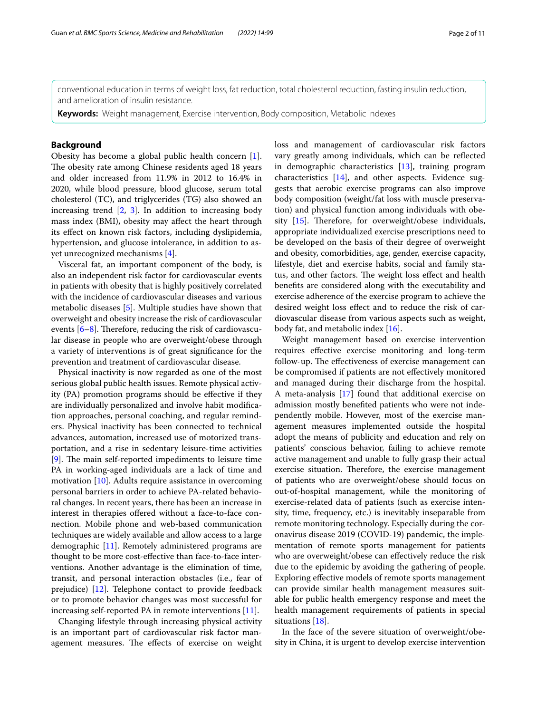conventional education in terms of weight loss, fat reduction, total cholesterol reduction, fasting insulin reduction, and amelioration of insulin resistance.

**Keywords:** Weight management, Exercise intervention, Body composition, Metabolic indexes

## **Background**

Obesity has become a global public health concern [\[1](#page-8-0)]. The obesity rate among Chinese residents aged 18 years and older increased from 11.9% in 2012 to 16.4% in 2020, while blood pressure, blood glucose, serum total cholesterol (TC), and triglycerides (TG) also showed an increasing trend  $[2, 3]$  $[2, 3]$  $[2, 3]$  $[2, 3]$  $[2, 3]$ . In addition to increasing body mass index (BMI), obesity may afect the heart through its efect on known risk factors, including dyslipidemia, hypertension, and glucose intolerance, in addition to asyet unrecognized mechanisms [[4\]](#page-9-1).

Visceral fat, an important component of the body, is also an independent risk factor for cardiovascular events in patients with obesity that is highly positively correlated with the incidence of cardiovascular diseases and various metabolic diseases [[5\]](#page-9-2). Multiple studies have shown that overweight and obesity increase the risk of cardiovascular events  $[6-8]$  $[6-8]$ . Therefore, reducing the risk of cardiovascular disease in people who are overweight/obese through a variety of interventions is of great signifcance for the prevention and treatment of cardiovascular disease.

Physical inactivity is now regarded as one of the most serious global public health issues. Remote physical activity (PA) promotion programs should be efective if they are individually personalized and involve habit modifcation approaches, personal coaching, and regular reminders. Physical inactivity has been connected to technical advances, automation, increased use of motorized transportation, and a rise in sedentary leisure-time activities  $[9]$  $[9]$ . The main self-reported impediments to leisure time PA in working-aged individuals are a lack of time and motivation [\[10](#page-9-6)]. Adults require assistance in overcoming personal barriers in order to achieve PA-related behavioral changes. In recent years, there has been an increase in interest in therapies offered without a face-to-face connection. Mobile phone and web-based communication techniques are widely available and allow access to a large demographic [\[11](#page-9-7)]. Remotely administered programs are thought to be more cost-efective than face-to-face interventions. Another advantage is the elimination of time, transit, and personal interaction obstacles (i.e., fear of prejudice) [\[12](#page-9-8)]. Telephone contact to provide feedback or to promote behavior changes was most successful for increasing self-reported PA in remote interventions [\[11](#page-9-7)].

Changing lifestyle through increasing physical activity is an important part of cardiovascular risk factor management measures. The effects of exercise on weight loss and management of cardiovascular risk factors vary greatly among individuals, which can be refected in demographic characteristics [[13\]](#page-9-9), training program characteristics [\[14](#page-9-10)], and other aspects. Evidence suggests that aerobic exercise programs can also improve body composition (weight/fat loss with muscle preservation) and physical function among individuals with obesity  $[15]$  $[15]$  $[15]$ . Therefore, for overweight/obese individuals, appropriate individualized exercise prescriptions need to be developed on the basis of their degree of overweight and obesity, comorbidities, age, gender, exercise capacity, lifestyle, diet and exercise habits, social and family status, and other factors. The weight loss effect and health benefts are considered along with the executability and exercise adherence of the exercise program to achieve the desired weight loss efect and to reduce the risk of cardiovascular disease from various aspects such as weight, body fat, and metabolic index [\[16\]](#page-9-12).

Weight management based on exercise intervention requires efective exercise monitoring and long-term follow-up. The effectiveness of exercise management can be compromised if patients are not efectively monitored and managed during their discharge from the hospital. A meta-analysis [\[17](#page-9-13)] found that additional exercise on admission mostly benefted patients who were not independently mobile. However, most of the exercise management measures implemented outside the hospital adopt the means of publicity and education and rely on patients' conscious behavior, failing to achieve remote active management and unable to fully grasp their actual exercise situation. Therefore, the exercise management of patients who are overweight/obese should focus on out-of-hospital management, while the monitoring of exercise-related data of patients (such as exercise intensity, time, frequency, etc.) is inevitably inseparable from remote monitoring technology. Especially during the coronavirus disease 2019 (COVID-19) pandemic, the implementation of remote sports management for patients who are overweight/obese can effectively reduce the risk due to the epidemic by avoiding the gathering of people. Exploring efective models of remote sports management can provide similar health management measures suitable for public health emergency response and meet the health management requirements of patients in special situations [[18\]](#page-9-14).

In the face of the severe situation of overweight/obesity in China, it is urgent to develop exercise intervention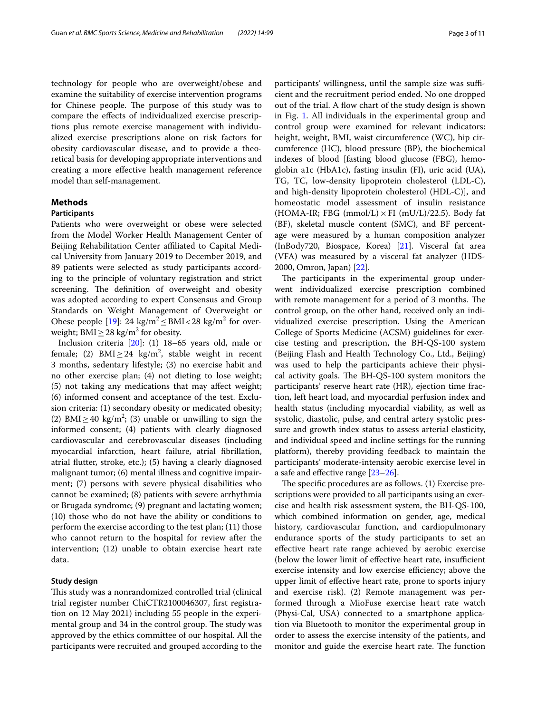technology for people who are overweight/obese and examine the suitability of exercise intervention programs for Chinese people. The purpose of this study was to compare the efects of individualized exercise prescriptions plus remote exercise management with individualized exercise prescriptions alone on risk factors for obesity cardiovascular disease, and to provide a theoretical basis for developing appropriate interventions and creating a more efective health management reference model than self-management.

## **Methods**

#### **Participants**

Patients who were overweight or obese were selected from the Model Worker Health Management Center of Beijing Rehabilitation Center afliated to Capital Medical University from January 2019 to December 2019, and 89 patients were selected as study participants according to the principle of voluntary registration and strict screening. The definition of overweight and obesity was adopted according to expert Consensus and Group Standards on Weight Management of Overweight or Obese people [[19\]](#page-9-15): 24  $\text{kg/m}^2 \leq \text{BMI} < 28 \text{ kg/m}^2$  for overweight; BMI  $\geq$  28 kg/m<sup>2</sup> for obesity.

Inclusion criteria [\[20\]](#page-9-16): (1) 18–65 years old, male or female; (2) BMI≥24  $\text{kg/m}^2$ , stable weight in recent 3 months, sedentary lifestyle; (3) no exercise habit and no other exercise plan; (4) not dieting to lose weight; (5) not taking any medications that may afect weight; (6) informed consent and acceptance of the test. Exclusion criteria: (1) secondary obesity or medicated obesity; (2) BMI  $\geq$  40 kg/m<sup>2</sup>; (3) unable or unwilling to sign the informed consent; (4) patients with clearly diagnosed cardiovascular and cerebrovascular diseases (including myocardial infarction, heart failure, atrial fbrillation, atrial futter, stroke, etc.); (5) having a clearly diagnosed malignant tumor; (6) mental illness and cognitive impairment; (7) persons with severe physical disabilities who cannot be examined; (8) patients with severe arrhythmia or Brugada syndrome; (9) pregnant and lactating women; (10) those who do not have the ability or conditions to perform the exercise according to the test plan; (11) those who cannot return to the hospital for review after the intervention; (12) unable to obtain exercise heart rate data.

#### **Study design**

This study was a nonrandomized controlled trial (clinical trial register number ChiCTR2100046307, frst registration on 12 May 2021) including 55 people in the experimental group and 34 in the control group. The study was approved by the ethics committee of our hospital. All the participants were recruited and grouped according to the participants' willingness, until the sample size was sufficient and the recruitment period ended. No one dropped out of the trial. A flow chart of the study design is shown in Fig. [1.](#page-3-0) All individuals in the experimental group and control group were examined for relevant indicators: height, weight, BMI, waist circumference (WC), hip circumference (HC), blood pressure (BP), the biochemical indexes of blood [fasting blood glucose (FBG), hemoglobin a1c (HbA1c), fasting insulin (FI), uric acid (UA), TG, TC, low-density lipoprotein cholesterol (LDL-C), and high-density lipoprotein cholesterol (HDL-C)], and homeostatic model assessment of insulin resistance (HOMA-IR; FBG (mmol/L)  $\times$  FI (mU/L)/22.5). Body fat (BF), skeletal muscle content (SMC), and BF percentage were measured by a human composition analyzer (InBody720, Biospace, Korea) [[21](#page-9-17)]. Visceral fat area (VFA) was measured by a visceral fat analyzer (HDS-2000, Omron, Japan) [\[22\]](#page-9-18).

The participants in the experimental group underwent individualized exercise prescription combined with remote management for a period of 3 months. The control group, on the other hand, received only an individualized exercise prescription. Using the American College of Sports Medicine (ACSM) guidelines for exercise testing and prescription, the BH-QS-100 system (Beijing Flash and Health Technology Co., Ltd., Beijing) was used to help the participants achieve their physical activity goals. The BH-QS-100 system monitors the participants' reserve heart rate (HR), ejection time fraction, left heart load, and myocardial perfusion index and health status (including myocardial viability, as well as systolic, diastolic, pulse, and central artery systolic pressure and growth index status to assess arterial elasticity, and individual speed and incline settings for the running platform), thereby providing feedback to maintain the participants' moderate-intensity aerobic exercise level in a safe and efective range [[23](#page-9-19)[–26](#page-9-20)].

The specific procedures are as follows. (1) Exercise prescriptions were provided to all participants using an exercise and health risk assessment system, the BH-QS-100, which combined information on gender, age, medical history, cardiovascular function, and cardiopulmonary endurance sports of the study participants to set an efective heart rate range achieved by aerobic exercise (below the lower limit of effective heart rate, insufficient exercise intensity and low exercise efficiency; above the upper limit of efective heart rate, prone to sports injury and exercise risk). (2) Remote management was performed through a MioFuse exercise heart rate watch (Physi-Cal, USA) connected to a smartphone application via Bluetooth to monitor the experimental group in order to assess the exercise intensity of the patients, and monitor and guide the exercise heart rate. The function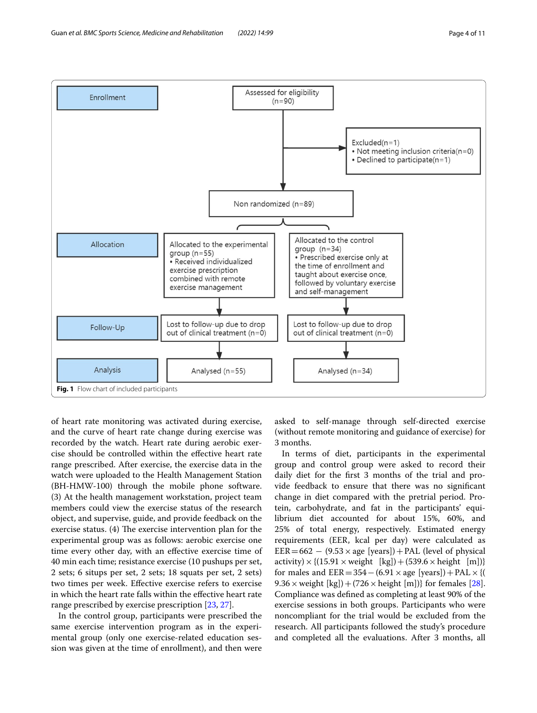

<span id="page-3-0"></span>of heart rate monitoring was activated during exercise, and the curve of heart rate change during exercise was recorded by the watch. Heart rate during aerobic exercise should be controlled within the efective heart rate range prescribed. After exercise, the exercise data in the watch were uploaded to the Health Management Station (BH-HMW-100) through the mobile phone software. (3) At the health management workstation, project team members could view the exercise status of the research object, and supervise, guide, and provide feedback on the exercise status.  $(4)$  The exercise intervention plan for the experimental group was as follows: aerobic exercise one time every other day, with an efective exercise time of 40 min each time; resistance exercise (10 pushups per set, 2 sets; 6 situps per set, 2 sets; 18 squats per set, 2 sets) two times per week. Efective exercise refers to exercise in which the heart rate falls within the efective heart rate range prescribed by exercise prescription [[23,](#page-9-19) [27](#page-9-21)].

In the control group, participants were prescribed the same exercise intervention program as in the experimental group (only one exercise-related education session was given at the time of enrollment), and then were

asked to self-manage through self-directed exercise (without remote monitoring and guidance of exercise) for 3 months.

In terms of diet, participants in the experimental group and control group were asked to record their daily diet for the frst 3 months of the trial and provide feedback to ensure that there was no signifcant change in diet compared with the pretrial period. Protein, carbohydrate, and fat in the participants' equilibrium diet accounted for about 15%, 60%, and 25% of total energy, respectively. Estimated energy requirements (EER, kcal per day) were calculated as  $EER = 662 - (9.53 \times age$  [years]) + PAL (level of physical activity)  $\times$  {(15.91  $\times$  weight [kg]) + (539.6  $\times$  height [m])} for males and  $EER = 354-(6.91 \times age$  [years]) + PAL  $\times$  {( 9.36  $\times$  weight [kg]) + (726  $\times$  height [m])} for females [\[28](#page-9-22)]. Compliance was defned as completing at least 90% of the exercise sessions in both groups. Participants who were noncompliant for the trial would be excluded from the research. All participants followed the study's procedure and completed all the evaluations. After 3 months, all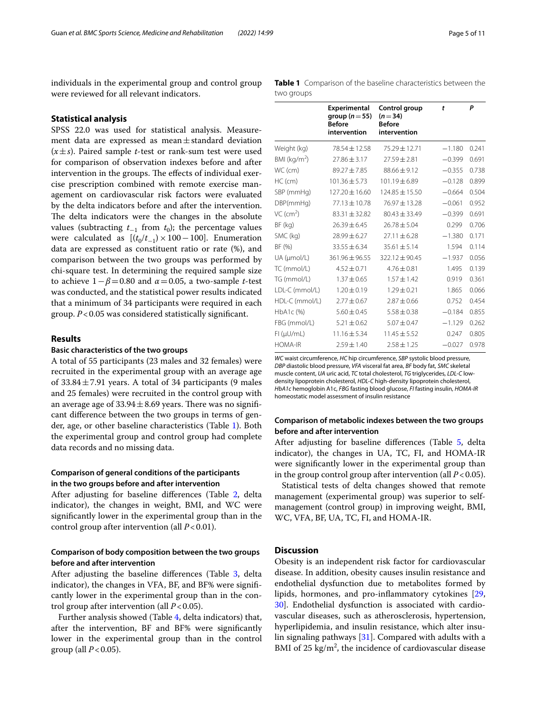individuals in the experimental group and control group were reviewed for all relevant indicators.

## **Statistical analysis**

SPSS 22.0 was used for statistical analysis. Measurement data are expressed as mean±standard deviation  $(x \pm s)$ . Paired sample *t*-test or rank-sum test were used for comparison of observation indexes before and after intervention in the groups. The effects of individual exercise prescription combined with remote exercise management on cardiovascular risk factors were evaluated by the delta indicators before and after the intervention. The delta indicators were the changes in the absolute values (subtracting  $t_{-1}$  from  $t_0$ ); the percentage values were calculated as  $[(t_0/t_{-1}) \times 100 - 100]$ . Enumeration data are expressed as constituent ratio or rate (%), and comparison between the two groups was performed by chi-square test. In determining the required sample size to achieve 1−*β*=0.80 and *α*=0.05, a two-sample *t*-test was conducted, and the statistical power results indicated that a minimum of 34 participants were required in each group. *P*<0.05 was considered statistically signifcant.

## **Results**

#### **Basic characteristics of the two groups**

A total of 55 participants (23 males and 32 females) were recruited in the experimental group with an average age of  $33.84 \pm 7.91$  years. A total of 34 participants (9 males and 25 females) were recruited in the control group with an average age of  $33.94 \pm 8.69$  years. There was no significant diference between the two groups in terms of gender, age, or other baseline characteristics (Table [1](#page-4-0)). Both the experimental group and control group had complete data records and no missing data.

## **Comparison of general conditions of the participants in the two groups before and after intervention**

After adjusting for baseline diferences (Table [2,](#page-5-0) delta indicator), the changes in weight, BMI, and WC were signifcantly lower in the experimental group than in the control group after intervention (all *P*<0.01).

## **Comparison of body composition between the two groups before and after intervention**

After adjusting the baseline differences (Table [3,](#page-5-1) delta indicator), the changes in VFA, BF, and BF% were signifcantly lower in the experimental group than in the control group after intervention (all *P*<0.05).

Further analysis showed (Table [4,](#page-6-0) delta indicators) that, after the intervention, BF and BF% were signifcantly lower in the experimental group than in the control group (all  $P < 0.05$ ).

<span id="page-4-0"></span>

|            |  | Table 1 Comparison of the baseline characteristics between the |  |
|------------|--|----------------------------------------------------------------|--|
| two groups |  |                                                                |  |

|                                  | <b>Experimental</b><br>group ( $n = 55$ )<br><b>Before</b><br>intervention | Control group<br>$(n=34)$<br><b>Before</b><br>intervention | t        | P     |
|----------------------------------|----------------------------------------------------------------------------|------------------------------------------------------------|----------|-------|
| Weight (kg)                      | 78.54 ± 12.58                                                              | $75.29 \pm 12.71$                                          | $-1.180$ | 0.241 |
| BMI ( $kg/m2$ )                  | $27.86 \pm 3.17$                                                           | $27.59 \pm 2.81$                                           | $-0.399$ | 0.691 |
| WC (cm)                          | $89.27 \pm 7.85$                                                           | $88.66 \pm 9.12$                                           | $-0.355$ | 0.738 |
| HC (cm)                          | $101.36 \pm 5.73$                                                          | $101.19 \pm 6.89$                                          | $-0.128$ | 0.899 |
| SBP (mmHg)<br>$127.20 \pm 16.60$ |                                                                            | $124.85 \pm 15.50$                                         | $-0.664$ | 0.504 |
| DBP(mmHg)<br>77.13 ± 10.78       |                                                                            | 76.97 ± 13.28                                              | $-0.061$ | 0.952 |
| VC (cm <sup>2</sup> )            | $83.31 \pm 32.82$                                                          | $80.43 \pm 33.49$                                          | $-0.399$ | 0.691 |
| BF (kg)                          | $26.39 \pm 6.45$                                                           | $26.78 \pm 5.04$                                           | 0.299    | 0.706 |
| SMC (kg)                         | $28.99 \pm 6.27$                                                           | $27.11 + 6.28$                                             | $-1.380$ | 0.171 |
| BF (%)                           | $33.55 \pm 6.34$                                                           | $35.61 \pm 5.14$                                           | 1.594    | 0.114 |
| UA (µmol/L)                      | 361.96 ± 96.55                                                             | 322.12±90.45                                               | $-1.937$ | 0.056 |
| TC (mmol/L)                      | $4.52 \pm 0.71$                                                            | $4.76 \pm 0.81$                                            | 1.495    | 0.139 |
| TG (mmol/L)                      | $1.37 \pm 0.65$                                                            | $1.57 \pm 1.42$                                            | 0.919    | 0.361 |
| LDL-C (mmol/L)                   | $1.20 \pm 0.19$                                                            | $1.29 \pm 0.21$                                            | 1.865    | 0.066 |
| HDL-C (mmol/L)                   | $2.77 \pm 0.67$                                                            | $2.87 \pm 0.66$                                            | 0.752    | 0.454 |
| HbA1c(%)                         | $5.60 \pm 0.45$                                                            | $5.58 \pm 0.38$                                            | $-0.184$ | 0.855 |
| FBG (mmol/L)                     | $5.21 \pm 0.62$                                                            | $5.07 \pm 0.47$                                            | $-1.129$ | 0.262 |
| FI (µU/mL)                       | $11.16 \pm 5.34$                                                           | $11.45 \pm 5.52$                                           | 0.247    | 0.805 |
| <b>HOMA-IR</b>                   | $2.59 \pm 1.40$                                                            | $2.58 \pm 1.25$                                            | $-0.027$ | 0.978 |

*WC* waist circumference, *HC* hip circumference, *SBP* systolic blood pressure, *DBP* diastolic blood pressure, *VFA* visceral fat area, *BF* body fat, *SMC* skeletal muscle content, *UA* uric acid, *TC* total cholesterol, *TG* triglycerides, *LDL-C* lowdensity lipoprotein cholesterol, *HDL-C* high-density lipoprotein cholesterol, *HbA1c* hemoglobin A1c, *FBG* fasting blood glucose, *FI* fasting insulin, *HOMA-IR* homeostatic model assessment of insulin resistance

## **Comparison of metabolic indexes between the two groups before and after intervention**

After adjusting for baseline diferences (Table [5,](#page-7-0) delta indicator), the changes in UA, TC, FI, and HOMA-IR were signifcantly lower in the experimental group than in the group control group after intervention (all  $P < 0.05$ ).

Statistical tests of delta changes showed that remote management (experimental group) was superior to selfmanagement (control group) in improving weight, BMI, WC, VFA, BF, UA, TC, FI, and HOMA-IR.

## **Discussion**

Obesity is an independent risk factor for cardiovascular disease. In addition, obesity causes insulin resistance and endothelial dysfunction due to metabolites formed by lipids, hormones, and pro-infammatory cytokines [[29](#page-9-23), [30\]](#page-9-24). Endothelial dysfunction is associated with cardiovascular diseases, such as atherosclerosis, hypertension, hyperlipidemia, and insulin resistance, which alter insulin signaling pathways [[31\]](#page-9-25). Compared with adults with a BMI of 25  $\text{kg/m}^2$ , the incidence of cardiovascular disease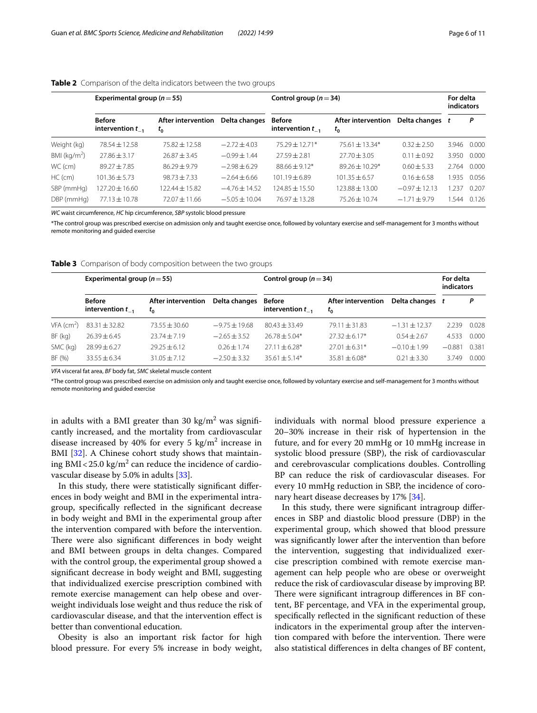|                 | Experimental group ( $n = 55$ )        |                               |                   | Control group ( $n = 34$ )             |                               |                   |       | For delta<br>indicators |  |
|-----------------|----------------------------------------|-------------------------------|-------------------|----------------------------------------|-------------------------------|-------------------|-------|-------------------------|--|
|                 | <b>Before</b><br>intervention $t_{-1}$ | After intervention<br>$t_{0}$ | Delta changes     | <b>Before</b><br>intervention $t_{-1}$ | After intervention<br>$t_{0}$ | Delta changes t   |       | P                       |  |
| Weight (kg)     | $78.54 \pm 12.58$                      | 75.82 ± 12.58                 | $-2.72 + 4.03$    | $75.29 \pm 12.71*$                     | $75.61 \pm 13.34*$            | $0.32 + 2.50$     | 3.946 | 0.000                   |  |
| BMI ( $kg/m2$ ) | $27.86 \pm 3.17$                       | $76.87 + 3.45$                | $-0.99 + 1.44$    | $77.59 + 2.81$                         | $27.70 + 3.05$                | $0.11 + 0.92$     | 3.950 | 0.000                   |  |
| WC (cm)         | $89.27 + 7.85$                         | $86.29 + 9.79$                | $-2.98 + 6.29$    | $88.66 + 9.12*$                        | $89.26 \pm 10.29*$            | $0.60 + 5.33$     | 2.764 | 0.000                   |  |
| $HC$ (cm)       | $101.36 \pm 5.73$                      | $98.73 + 7.33$                | $-2.64 + 6.66$    | $101.19 + 6.89$                        | $101.35 + 6.57$               | $0.16 + 6.58$     | .935  | 0.056                   |  |
| SBP (mmHg)      | $127.20 \pm 16.60$                     | $122.44 \pm 15.82$            | $-4.76 \pm 14.52$ | $124.85 + 15.50$                       | $123.88 \pm 13.00$            | $-0.97 \pm 12.13$ | .237  | 0.207                   |  |
| DBP (mmHg)      | $77.13 \pm 10.78$                      | $72.07 + 11.66$               | $-5.05 \pm 10.04$ | $76.97 + 13.28$                        | $75.26 \pm 10.74$             | $-1.71 \pm 9.79$  | .544  | 0.126                   |  |

<span id="page-5-0"></span>**Table 2** Comparison of the delta indicators between the two groups

*WC* waist circumference, *HC* hip circumference, *SBP* systolic blood pressure

\*The control group was prescribed exercise on admission only and taught exercise once, followed by voluntary exercise and self-management for 3 months without remote monitoring and guided exercise

<span id="page-5-1"></span>

|  |  |  | Table 3 Comparison of body composition between the two groups |  |  |  |
|--|--|--|---------------------------------------------------------------|--|--|--|
|--|--|--|---------------------------------------------------------------|--|--|--|

|                          | Experimental group ( $n = 55$ )        |                               |                 | Control group ( $n = 34$ )             |                               |                   |          |       |
|--------------------------|----------------------------------------|-------------------------------|-----------------|----------------------------------------|-------------------------------|-------------------|----------|-------|
|                          | <b>Before</b><br>intervention $t_{-1}$ | After intervention<br>$t_{0}$ | Delta changes   | <b>Before</b><br>intervention $t_{-1}$ | After intervention<br>$t_{0}$ | Delta changes t   |          | P     |
| $VFA$ (cm <sup>2</sup> ) | $83.31 \pm 32.82$                      | $73.55 + 30.60$               | $-9.75 + 19.68$ | $80.43 + 33.49$                        | $79.11 \pm 31.83$             | $-1.31 \pm 12.37$ | 2.239    | 0.028 |
| BF (kg)                  | $26.39 \pm 6.45$                       | $23.74 + 7.19$                | $-2.65 + 3.52$  | $76.78 + 5.04*$                        | $27.32 \pm 6.17*$             | $0.54 + 2.67$     | 4.533    | 0.000 |
| SMC (kg)                 | $78.99 + 6.27$                         | $29.25 \pm 6.12$              | $0.26 \pm 1.74$ | $27.11 \pm 6.28*$                      | $27.01 \pm 6.31*$             | $-0.10 \pm 1.99$  | $-0.881$ | 0.381 |
| BF (%)                   | $33.55 \pm 6.34$                       | $31.05 + 7.12$                | $-2.50 + 3.32$  | $35.61 + 5.14*$                        | $35.81 \pm 6.08*$             | $0.21 \pm 3.30$   | 3749     | 0.000 |

*VFA* visceral fat area, *BF* body fat, *SMC* skeletal muscle content

\*The control group was prescribed exercise on admission only and taught exercise once, followed by voluntary exercise and self-management for 3 months without remote monitoring and guided exercise

in adults with a BMI greater than 30 kg/m $^2$  was significantly increased, and the mortality from cardiovascular disease increased by 40% for every 5  $\text{kg/m}^2$  increase in BMI [[32](#page-9-26)]. A Chinese cohort study shows that maintaining BMI<25.0 kg/m $^2$  can reduce the incidence of cardiovascular disease by 5.0% in adults [\[33\]](#page-9-27).

In this study, there were statistically signifcant diferences in body weight and BMI in the experimental intragroup, specifcally refected in the signifcant decrease in body weight and BMI in the experimental group after the intervention compared with before the intervention. There were also significant differences in body weight and BMI between groups in delta changes. Compared with the control group, the experimental group showed a signifcant decrease in body weight and BMI, suggesting that individualized exercise prescription combined with remote exercise management can help obese and overweight individuals lose weight and thus reduce the risk of cardiovascular disease, and that the intervention efect is better than conventional education.

Obesity is also an important risk factor for high blood pressure. For every 5% increase in body weight, individuals with normal blood pressure experience a 20–30% increase in their risk of hypertension in the future, and for every 20 mmHg or 10 mmHg increase in systolic blood pressure (SBP), the risk of cardiovascular and cerebrovascular complications doubles. Controlling BP can reduce the risk of cardiovascular diseases. For every 10 mmHg reduction in SBP, the incidence of coro-nary heart disease decreases by 17% [[34](#page-9-28)].

In this study, there were signifcant intragroup diferences in SBP and diastolic blood pressure (DBP) in the experimental group, which showed that blood pressure was signifcantly lower after the intervention than before the intervention, suggesting that individualized exercise prescription combined with remote exercise management can help people who are obese or overweight reduce the risk of cardiovascular disease by improving BP. There were significant intragroup differences in BF content, BF percentage, and VFA in the experimental group, specifically reflected in the significant reduction of these indicators in the experimental group after the intervention compared with before the intervention. There were also statistical diferences in delta changes of BF content,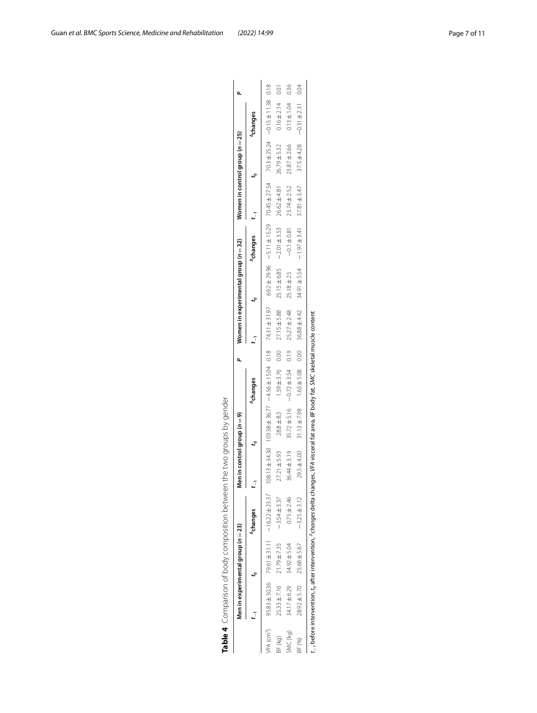|                        |                  |                                    | Table 4 Comparison of body composition between the two groups by gender                                                                               |                               |                |                                                                                                                |      |                                      |                                     |                                    |                  |                                 |                       |      |
|------------------------|------------------|------------------------------------|-------------------------------------------------------------------------------------------------------------------------------------------------------|-------------------------------|----------------|----------------------------------------------------------------------------------------------------------------|------|--------------------------------------|-------------------------------------|------------------------------------|------------------|---------------------------------|-----------------------|------|
|                        |                  | Men in experimental group $(n=23)$ |                                                                                                                                                       | en in control group ( $n=9$ ) |                |                                                                                                                |      | Women in experimental group $(n=32)$ |                                     |                                    |                  | Women in control group $(n=25)$ |                       |      |
|                        | j                |                                    | <sup>4</sup> changes                                                                                                                                  |                               |                | Achanges                                                                                                       |      | $\frac{1}{2}$                        |                                     | $^{4}$ changes $t_{-1}$            |                  |                                 | <sup>4</sup> changes  |      |
| VFA (cm <sup>2</sup> ) |                  |                                    | $95.83 \pm 30.36$ 79.61 $\pm$ 31.11 - 16.22 $\pm$ 23.37                                                                                               |                               |                | 810 145111-1524 1502 15024 1504 1504 1504 16124 1624 1624 1631 1629 1624 1634 1634 1645 1646 1647 1648 1648 16 |      |                                      |                                     |                                    |                  |                                 |                       |      |
| BF (kg)                | 25.33±7.16       | $21.79 \pm 7.35$                   | $-3.54 \pm 3.37$                                                                                                                                      | $27.21 \pm 5.93$              | $28.8 \pm 8.3$ | $1.59 \pm 3.76$ 0.00                                                                                           |      | $27.15 \pm 5.88$                     | $25.15 \pm 6.85$ - $-2.01 \pm 3.53$ |                                    | 26.62±4.81       | $26.79 \pm 5.32$                | $0.16 \pm 2.14$       | 0.01 |
| SMC (kg)               | 34.17±6.29       | 34.92 ± 5.04                       | $0.75 \pm 2.46$                                                                                                                                       | $36.44 \pm 3.19$              |                | $35.72 \pm 5.16$ -0.72 $\pm 3.54$                                                                              | 0.19 | $25.27 \pm 2.48$                     | $25.18 \pm 2.5$                     | $-0.1 \pm 0.81$                    | $23.74 \pm 2.52$ | 23.87±2.66                      | $0.13 \pm 1.04$       | 0.36 |
| BF (%)                 | $28.92 \pm 5.70$ | 25.68±5.67                         | $-3.25 \pm 3.12$                                                                                                                                      | 29.5 ± 4.00                   |                | $31.13 \pm 7.98$ $1.63 \pm 5.08$ 0.00                                                                          |      | 36.88 ± 4.42                         |                                     | $34.91 \pm 5.54$ - 1.97 $\pm 3.41$ | $37.81 \pm 3.47$ | $37.5 \pm 4.28$                 | $-0.31 \pm 2.31$ 0.04 |      |
|                        |                  |                                    | $t_{-1}$ before intervention, $t_0$ after intervention, ${}^2$ changes delta changes, VFA visceral fat area, BF body fat, SMC skeletal muscle content |                               |                |                                                                                                                |      |                                      |                                     |                                    |                  |                                 |                       |      |

<span id="page-6-0"></span>

|       | J<br>j<br>ī  |  |
|-------|--------------|--|
|       | ł            |  |
|       | j<br>Ì       |  |
|       | J            |  |
|       |              |  |
|       | ļ<br>2       |  |
|       | I<br>١<br>l  |  |
|       | Ś            |  |
|       | ζ<br>١       |  |
|       | j<br>١       |  |
|       | Ì<br>١       |  |
|       |              |  |
|       |              |  |
|       | I<br>J       |  |
|       | j            |  |
|       | ł            |  |
|       | Ì<br>I       |  |
|       | J<br>İ       |  |
|       |              |  |
|       | I            |  |
|       | J<br>İ       |  |
|       | S            |  |
|       | I<br>١       |  |
|       | ŧ            |  |
|       | j<br>١       |  |
|       | I<br>)       |  |
|       | $\mathbf{I}$ |  |
|       | i            |  |
|       | Ì<br>I<br>١  |  |
|       |              |  |
|       | ī<br>١       |  |
|       | ١<br>١       |  |
|       | ļ            |  |
|       | i            |  |
|       |              |  |
|       | ţ<br>Ì<br>١  |  |
|       | ţ<br>١       |  |
|       | j<br>Ì       |  |
|       | ļ            |  |
|       |              |  |
|       | l            |  |
| ι     | ١            |  |
|       |              |  |
| I     |              |  |
|       | J<br>å       |  |
| ֡֡֡֡֡ | i            |  |

| 36.88 ± 4.42     |                                                                      |
|------------------|----------------------------------------------------------------------|
| 0.00             |                                                                      |
| $1.63 \pm 5.08$  |                                                                      |
| $31.13 \pm 7.98$ | 'ta changes, VFA visceral fat area, BF body fat, SMC skeletal muscle |
| 29.5 ± 4.00      |                                                                      |
| $-3.25 \pm 3.12$ |                                                                      |
| 25.68±5.67       | tion, t <sub>o</sub> after intervention, <sup>4</sup> changes delt.  |
| $28.92 \pm 5.70$ |                                                                      |
|                  |                                                                      |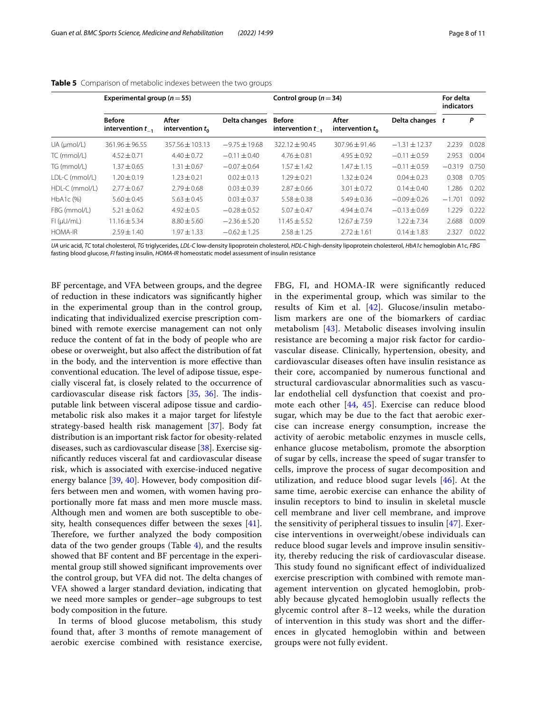|                   | Experimental group ( $n = 55$ )        |                             |                   | Control group ( $n = 34$ )             |                             |                   |          | For delta<br>indicators |  |
|-------------------|----------------------------------------|-----------------------------|-------------------|----------------------------------------|-----------------------------|-------------------|----------|-------------------------|--|
|                   | <b>Before</b><br>intervention $t_{-1}$ | After<br>intervention $t_0$ | Delta changes     | <b>Before</b><br>intervention $t_{-1}$ | After<br>intervention $t_0$ | Delta changes t   |          | P                       |  |
| $UA$ ( $µmol/L$ ) | 361.96 ± 96.55                         | $357.56 + 103.13$           | $-9.75 \pm 19.68$ | $322.12 + 90.45$                       | $307.96 + 91.46$            | $-1.31 \pm 12.37$ | 2.239    | 0.028                   |  |
| TC (mmol/L)       | $4.52 \pm 0.71$                        | $4.40 \pm 0.72$             | $-0.11 \pm 0.40$  | $4.76 \pm 0.81$                        | $4.95 + 0.92$               | $-0.11 \pm 0.59$  | 2.953    | 0.004                   |  |
| TG (mmol/L)       | $1.37 + 0.65$                          | $1.31 \pm 0.67$             | $-0.07 + 0.64$    | $1.57 + 1.42$                          | $1.47 + 1.15$               | $-0.11 + 0.59$    | $-0.319$ | 0.750                   |  |
| LDL-C (mmol/L)    | $1.20 \pm 0.19$                        | $1.23 + 0.21$               | $0.02 \pm 0.13$   | $1.29 + 0.21$                          | $1.32 + 0.24$               | $0.04 + 0.23$     | 0.308    | 0.705                   |  |
| HDL-C (mmol/L)    | $2.77 + 0.67$                          | $2.79 + 0.68$               | $0.03 + 0.39$     | $2.87 + 0.66$                          | $3.01 \pm 0.72$             | $0.14 \pm 0.40$   | .286     | 0.202                   |  |
| HbA1c (%)         | $5.60 \pm 0.45$                        | $5.63 \pm 0.45$             | $0.03 \pm 0.37$   | $5.58 \pm 0.38$                        | $5.49 \pm 0.36$             | $-0.09 \pm 0.26$  | $-1.701$ | 0.092                   |  |
| FBG (mmol/L)      | $5.21 \pm 0.62$                        | $4.92 + 0.5$                | $-0.28 + 0.52$    | $5.07 + 0.47$                          | $4.94 + 0.74$               | $-0.13 \pm 0.69$  | 1.229    | 0.222                   |  |
| FI (µU/mL)        | $11.16 \pm 5.34$                       | $8.80 \pm 5.60$             | $-2.36 \pm 5.20$  | $11.45 \pm 5.52$                       | $12.67 + 7.59$              | $1.22 + 7.34$     | 2.688    | 0.009                   |  |
| <b>HOMA-IR</b>    | $7.59 + 1.40$                          | 1.97±1.33                   | $-0.62 \pm 1.25$  | $2.58 \pm 1.25$                        | $2.72 \pm 1.61$             | $0.14 + 1.83$     | 2.327    | 0.022                   |  |

#### <span id="page-7-0"></span>**Table 5** Comparison of metabolic indexes between the two groups

*UA* uric acid, *TC* total cholesterol, *TG* triglycerides, *LDL-C* low-density lipoprotein cholesterol, *HDL-C* high-density lipoprotein cholesterol, *HbA1c* hemoglobin A1c, *FBG* fasting blood glucose, *FI* fasting insulin, *HOMA-IR* homeostatic model assessment of insulin resistance

BF percentage, and VFA between groups, and the degree of reduction in these indicators was signifcantly higher in the experimental group than in the control group, indicating that individualized exercise prescription combined with remote exercise management can not only reduce the content of fat in the body of people who are obese or overweight, but also afect the distribution of fat in the body, and the intervention is more efective than conventional education. The level of adipose tissue, especially visceral fat, is closely related to the occurrence of cardiovascular disease risk factors [\[35](#page-9-29), [36\]](#page-9-30). The indisputable link between visceral adipose tissue and cardiometabolic risk also makes it a major target for lifestyle strategy-based health risk management [\[37](#page-10-0)]. Body fat distribution is an important risk factor for obesity-related diseases, such as cardiovascular disease [\[38](#page-10-1)]. Exercise signifcantly reduces visceral fat and cardiovascular disease risk, which is associated with exercise-induced negative energy balance [\[39,](#page-10-2) [40\]](#page-10-3). However, body composition differs between men and women, with women having proportionally more fat mass and men more muscle mass. Although men and women are both susceptible to obesity, health consequences difer between the sexes [\[41](#page-10-4)]. Therefore, we further analyzed the body composition data of the two gender groups (Table [4](#page-6-0)), and the results showed that BF content and BF percentage in the experimental group still showed signifcant improvements over the control group, but VFA did not. The delta changes of VFA showed a larger standard deviation, indicating that we need more samples or gender–age subgroups to test body composition in the future.

In terms of blood glucose metabolism, this study found that, after 3 months of remote management of aerobic exercise combined with resistance exercise, FBG, FI, and HOMA-IR were signifcantly reduced in the experimental group, which was similar to the results of Kim et al. [\[42](#page-10-5)]. Glucose/insulin metabolism markers are one of the biomarkers of cardiac metabolism [[43\]](#page-10-6). Metabolic diseases involving insulin resistance are becoming a major risk factor for cardiovascular disease. Clinically, hypertension, obesity, and cardiovascular diseases often have insulin resistance as their core, accompanied by numerous functional and structural cardiovascular abnormalities such as vascular endothelial cell dysfunction that coexist and promote each other [\[44](#page-10-7), [45](#page-10-8)]. Exercise can reduce blood sugar, which may be due to the fact that aerobic exercise can increase energy consumption, increase the activity of aerobic metabolic enzymes in muscle cells, enhance glucose metabolism, promote the absorption of sugar by cells, increase the speed of sugar transfer to cells, improve the process of sugar decomposition and utilization, and reduce blood sugar levels [\[46\]](#page-10-9). At the same time, aerobic exercise can enhance the ability of insulin receptors to bind to insulin in skeletal muscle cell membrane and liver cell membrane, and improve the sensitivity of peripheral tissues to insulin [[47](#page-10-10)]. Exercise interventions in overweight/obese individuals can reduce blood sugar levels and improve insulin sensitivity, thereby reducing the risk of cardiovascular disease. This study found no significant effect of individualized exercise prescription with combined with remote management intervention on glycated hemoglobin, probably because glycated hemoglobin usually refects the glycemic control after 8–12 weeks, while the duration of intervention in this study was short and the diferences in glycated hemoglobin within and between groups were not fully evident.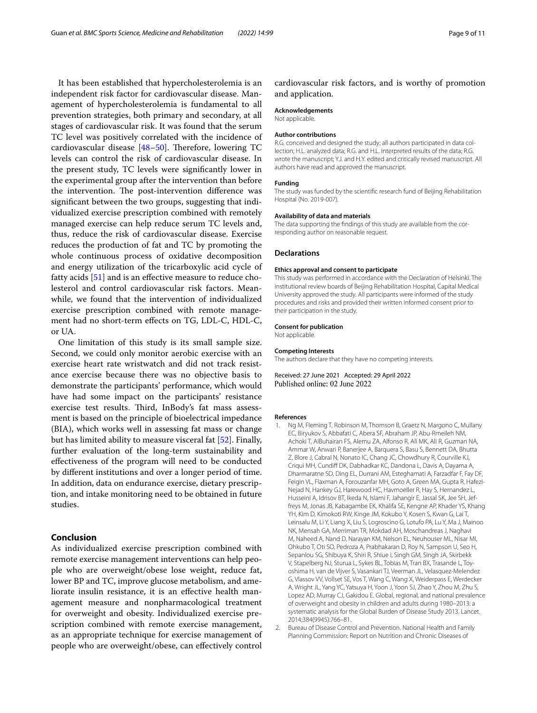It has been established that hypercholesterolemia is an independent risk factor for cardiovascular disease. Management of hypercholesterolemia is fundamental to all prevention strategies, both primary and secondary, at all stages of cardiovascular risk. It was found that the serum TC level was positively correlated with the incidence of cardiovascular disease  $[48-50]$  $[48-50]$  $[48-50]$ . Therefore, lowering TC levels can control the risk of cardiovascular disease. In the present study, TC levels were signifcantly lower in the experimental group after the intervention than before the intervention. The post-intervention difference was signifcant between the two groups, suggesting that individualized exercise prescription combined with remotely managed exercise can help reduce serum TC levels and, thus, reduce the risk of cardiovascular disease. Exercise reduces the production of fat and TC by promoting the whole continuous process of oxidative decomposition and energy utilization of the tricarboxylic acid cycle of fatty acids [[51\]](#page-10-13) and is an efective measure to reduce cholesterol and control cardiovascular risk factors. Meanwhile, we found that the intervention of individualized exercise prescription combined with remote management had no short-term efects on TG, LDL-C, HDL-C, or UA.

One limitation of this study is its small sample size. Second, we could only monitor aerobic exercise with an exercise heart rate wristwatch and did not track resistance exercise because there was no objective basis to demonstrate the participants' performance, which would have had some impact on the participants' resistance exercise test results. Third, InBody's fat mass assessment is based on the principle of bioelectrical impedance (BIA), which works well in assessing fat mass or change but has limited ability to measure visceral fat [\[52\]](#page-10-14). Finally, further evaluation of the long-term sustainability and efectiveness of the program will need to be conducted by diferent institutions and over a longer period of time. In addition, data on endurance exercise, dietary prescription, and intake monitoring need to be obtained in future studies.

## **Conclusion**

As individualized exercise prescription combined with remote exercise management interventions can help people who are overweight/obese lose weight, reduce fat, lower BP and TC, improve glucose metabolism, and ameliorate insulin resistance, it is an efective health management measure and nonpharmacological treatment for overweight and obesity. Individualized exercise prescription combined with remote exercise management, as an appropriate technique for exercise management of people who are overweight/obese, can efectively control

cardiovascular risk factors, and is worthy of promotion and application.

#### **Acknowledgements**

Not applicable.

#### **Author contributions**

R.G. conceived and designed the study; all authors participated in data collection; H.L. analyzed data; R.G. and H.L. interpreted results of the data; R.G. wrote the manuscript; Y.J. and H.Y. edited and critically revised manuscript. All authors have read and approved the manuscript.

#### **Funding**

The study was funded by the scientifc research fund of Beijing Rehabilitation Hospital (No. 2019-007).

#### **Availability of data and materials**

The data supporting the fndings of this study are available from the corresponding author on reasonable request.

#### **Declarations**

#### **Ethics approval and consent to participate**

This study was performed in accordance with the Declaration of Helsinki. The institutional review boards of Beijing Rehabilitation Hospital, Capital Medical University approved the study. All participants were informed of the study procedures and risks and provided their written informed consent prior to their participation in the study.

#### **Consent for publication**

Not applicable.

#### **Competing Interests**

The authors declare that they have no competing interests.

Received: 27 June 2021 Accepted: 29 April 2022 Published online: 02 June 2022

#### **References**

- <span id="page-8-0"></span>Ng M, Fleming T, Robinson M, Thomson B, Graetz N, Margono C, Mullany EC, Biryukov S, Abbafati C, Abera SF, Abraham JP, Abu-Rmeileh NM, Achoki T, AlBuhairan FS, Alemu ZA, Alfonso R, Ali MK, Ali R, Guzman NA, Ammar W, Anwari P, Banerjee A, Barquera S, Basu S, Bennett DA, Bhutta Z, Blore J, Cabral N, Nonato IC, Chang JC, Chowdhury R, Courville KJ, Criqui MH, Cundif DK, Dabhadkar KC, Dandona L, Davis A, Dayama A, Dharmaratne SD, Ding EL, Durrani AM, Esteghamati A, Farzadfar F, Fay DF, Feigin VL, Flaxman A, Forouzanfar MH, Goto A, Green MA, Gupta R, Hafezi-Nejad N, Hankey GJ, Harewood HC, Havmoeller R, Hay S, Hernandez L, Husseini A, Idrisov BT, Ikeda N, Islami F, Jahangir E, Jassal SK, Jee SH, Jeffreys M, Jonas JB, Kabagambe EK, Khalifa SE, Kengne AP, Khader YS, Khang YH, Kim D, Kimokoti RW, Kinge JM, Kokubo Y, Kosen S, Kwan G, Lai T, Leinsalu M, Li Y, Liang X, Liu S, Logroscino G, Lotufo PA, Lu Y, Ma J, Mainoo NK, Mensah GA, Merriman TR, Mokdad AH, Moschandreas J, Naghavi M, Naheed A, Nand D, Narayan KM, Nelson EL, Neuhouser ML, Nisar MI, Ohkubo T, Oti SO, Pedroza A, Prabhakaran D, Roy N, Sampson U, Seo H, Sepanlou SG, Shibuya K, Shiri R, Shiue I, Singh GM, Singh JA, Skirbekk V, Stapelberg NJ, Sturua L, Sykes BL, Tobias M, Tran BX, Trasande L, Toyoshima H, van de Vijver S, Vasankari TJ, Veerman JL, Velasquez-Melendez G, Vlassov VV, Vollset SE, Vos T, Wang C, Wang X, Weiderpass E, Werdecker A, Wright JL, Yang YC, Yatsuya H, Yoon J, Yoon SJ, Zhao Y, Zhou M, Zhu S, Lopez AD, Murray CJ, Gakidou E. Global, regional, and national prevalence of overweight and obesity in children and adults during 1980–2013: a systematic analysis for the Global Burden of Disease Study 2013. Lancet. 2014;384(9945):766–81.
- <span id="page-8-1"></span>2. Bureau of Disease Control and Prevention. National Health and Family Planning Commission: Report on Nutrition and Chronic Diseases of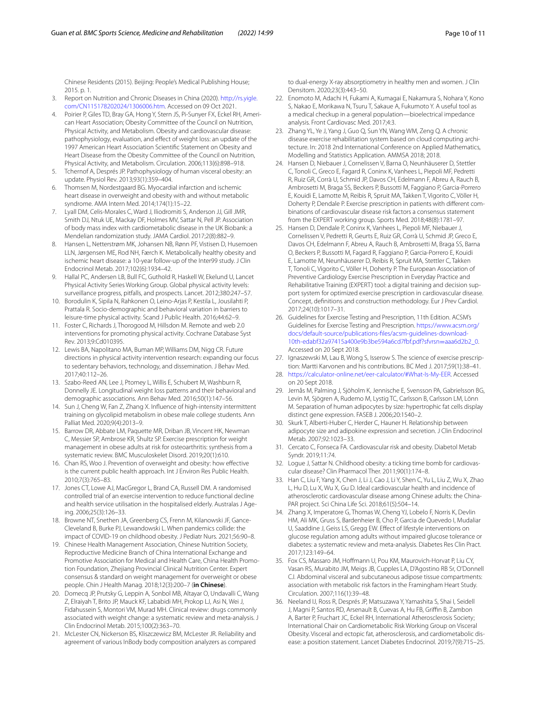Chinese Residents (2015). Beijing: People's Medical Publishing House; 2015. p. 1.

- <span id="page-9-0"></span>3. Report on Nutrition and Chronic Diseases in China (2020). [http://rs.yigle.](http://rs.yigle.com/CN115178202024/1306006.htm) [com/CN115178202024/1306006.htm.](http://rs.yigle.com/CN115178202024/1306006.htm) Accessed on 09 Oct 2021.
- <span id="page-9-1"></span>4. Poirier P, Giles TD, Bray GA, Hong Y, Stern JS, Pi-Sunyer FX, Eckel RH, American Heart Association; Obesity Committee of the Council on Nutrition, Physical Activity, and Metabolism. Obesity and cardiovascular disease: pathophysiology, evaluation, and efect of weight loss: an update of the 1997 American Heart Association Scientifc Statement on Obesity and Heart Disease from the Obesity Committee of the Council on Nutrition, Physical Activity, and Metabolism. Circulation. 2006;113(6):898–918.
- <span id="page-9-2"></span>5. Tchernof A, Després JP. Pathophysiology of human visceral obesity: an update. Physiol Rev. 2013;93(1):359–404.
- <span id="page-9-3"></span>6. Thomsen M, Nordestgaard BG. Myocardial infarction and ischemic heart disease in overweight and obesity with and without metabolic syndrome. AMA Intern Med. 2014;174(1):15–22.
- 7. Lyall DM, Celis-Morales C, Ward J, Iliodromiti S, Anderson JJ, Gill JMR, Smith DJ, Ntuk UE, Mackay DF, Holmes MV, Sattar N, Pell JP. Association of body mass index with cardiometabolic disease in the UK Biobank: a Mendelian randomization study. JAMA Cardiol. 2017;2(8):882–9.
- <span id="page-9-4"></span>8. Hansen L, Netterstrøm MK, Johansen NB, Rønn PF, Vistisen D, Husemoen LLN, Jørgensen ME, Rod NH, Færch K. Metabolically healthy obesity and ischemic heart disease: a 10-year follow-up of the Inter99 study. J Clin Endocrinol Metab. 2017;102(6):1934–42.
- <span id="page-9-5"></span>9. Hallal PC, Andersen LB, Bull FC, Guthold R, Haskell W, Ekelund U, Lancet Physical Activity Series Working Group. Global physical activity levels: surveillance progress, pitfalls, and prospects. Lancet. 2012;380:247–57.
- <span id="page-9-6"></span>10. Borodulin K, Sipila N, Rahkonen O, Leino-Arjas P, Kestila L, Jousilahti P, Prattala R. Socio-demographic and behavioral variation in barriers to leisure-time physical activity. Scand J Public Health. 2016;44:62–9.
- <span id="page-9-7"></span>11. Foster C, Richards J, Thorogood M, Hillsdon M. Remote and web 2.0 interventions for promoting physical activity. Cochrane Database Syst Rev. 2013;9:Cd010395.
- <span id="page-9-8"></span>12. Lewis BA, Napolitano MA, Buman MP, Williams DM, Nigg CR. Future directions in physical activity intervention research: expanding our focus to sedentary behaviors, technology, and dissemination. J Behav Med. 2017;40:112–26.
- <span id="page-9-9"></span>13. Szabo-Reed AN, Lee J, Ptomey L, Willis E, Schubert M, Washburn R, Donnelly JE. Longitudinal weight loss patterns and their behavioral and demographic associations. Ann Behav Med. 2016;50(1):147–56.
- <span id="page-9-10"></span>14. Sun J, Cheng W, Fan Z, Zhang X. Infuence of high-intensity intermittent training on glycolipid metabolism in obese male college students. Ann Palliat Med. 2020;9(4):2013–9.
- <span id="page-9-11"></span>15. Barrow DR, Abbate LM, Paquette MR, Driban JB, Vincent HK, Newman C, Messier SP, Ambrose KR, Shultz SP. Exercise prescription for weight management in obese adults at risk for osteoarthritis: synthesis from a systematic review. BMC Musculoskelet Disord. 2019;20(1):610.
- <span id="page-9-12"></span>16. Chan RS, Woo J. Prevention of overweight and obesity: how efective is the current public health approach. Int J Environ Res Public Health. 2010;7(3):765–83.
- <span id="page-9-13"></span>17. Jones CT, Lowe AJ, MacGregor L, Brand CA, Russell DM. A randomised controlled trial of an exercise intervention to reduce functional decline and health service utilisation in the hospitalised elderly. Australas J Ageing. 2006;25(3):126–33.
- <span id="page-9-14"></span>18. Browne NT, Snethen JA, Greenberg CS, Frenn M, Kilanowski JF, Gance-Cleveland B, Burke PJ, Lewandowski L. When pandemics collide: the impact of COVID-19 on childhood obesity. J Pediatr Nurs. 2021;56:90–8.
- <span id="page-9-15"></span>19. Chinese Health Management Association, Chinese Nutrition Society, Reproductive Medicine Branch of China International Exchange and Promotive Association for Medical and Health Care, China Health Promotion Foundation, Zhejiang Provincial Clinical Nutrition Center. Expert consensus & standard on weight management for overweight or obese people. Chin J Health Manag. 2018;12(3):200–7 (**in Chinese**).
- <span id="page-9-16"></span>20. Domecq JP, Prutsky G, Leppin A, Sonbol MB, Altayar O, Undavalli C, Wang Z, Elraiyah T, Brito JP, Mauck KF, Lababidi MH, Prokop LJ, Asi N, Wei J, Fidahussein S, Montori VM, Murad MH. Clinical review: drugs commonly associated with weight change: a systematic review and meta-analysis. J Clin Endocrinol Metab. 2015;100(2):363–70.
- <span id="page-9-17"></span>21. McLester CN, Nickerson BS, Kliszczewicz BM, McLester JR. Reliability and agreement of various InBody body composition analyzers as compared

to dual-energy X-ray absorptiometry in healthy men and women. J Clin Densitom. 2020;23(3):443–50.

- <span id="page-9-18"></span>22. Enomoto M, Adachi H, Fukami A, Kumagai E, Nakamura S, Nohara Y, Kono S, Nakao E, Morikawa N, Tsuru T, Sakaue A, Fukumoto Y. A useful tool as a medical checkup in a general population—bioelectrical impedance analysis. Front Cardiovasc Med. 2017;4:3.
- <span id="page-9-19"></span>23. Zhang YL, Ye J, Yang J, Guo Q, Sun YN, Wang WM, Zeng Q. A chronic disease exercise rehabilitation system based on cloud computing architecture. In: 2018 2nd International Conference on Applied Mathematics, Modelling and Statistics Application. AMMSA 2018; 2018.
- 24. Hansen D, Niebauer J, Cornelissen V, Barna O, Neunhäuserer D, Stettler C, Tonoli C, Greco E, Fagard R, Coninx K, Vanhees L, Piepoli MF, Pedretti R, Ruiz GR, Corrà U, Schmid JP, Davos CH, Edelmann F, Abreu A, Rauch B, Ambrosetti M, Braga SS, Beckers P, Bussotti M, Faggiano P, Garcia-Porrero E, Kouidi E, Lamotte M, Reibis R, Spruit MA, Takken T, Vigorito C, Völler H, Doherty P, Dendale P. Exercise prescription in patients with diferent combinations of cardiovascular disease risk factors a consensus statement from the EXPERT working group. Sports Med. 2018;48(8):1781–97.
- 25. Hansen D, Dendale P, Coninx K, Vanhees L, Piepoli MF, Niebauer J, Cornelissen V, Pedretti R, Geurts E, Ruiz GR, Corrà U, Schmid JP, Greco E, Davos CH, Edelmann F, Abreu A, Rauch B, Ambrosetti M, Braga SS, Barna O, Beckers P, Bussotti M, Fagard R, Faggiano P, Garcia-Porrero E, Kouidi E, Lamotte M, Neunhäuserer D, Reibis R, Spruit MA, Stettler C, Takken T, Tonoli C, Vigorito C, Völler H, Doherty P. The European Association of Preventive Cardiology Exercise Prescription in Everyday Practice and Rehabilitative Training (EXPERT) tool: a digital training and decision support system for optimized exercise prescription in cardiovascular disease. Concept, defnitions and construction methodology. Eur J Prev Cardiol. 2017;24(10):1017–31.
- <span id="page-9-20"></span>26. Guidelines for Exercise Testing and Prescription, 11th Edition. ACSM's Guidelines for Exercise Testing and Prescription. [https://www.acsm.org/](https://www.acsm.org/docs/default-source/publications-files/acsm-guidelines-download-10th-edabf32a97415a400e9b3be594a6cd7fbf.pdf?sfvrsn=aaa6d2b2_0) [docs/default-source/publications-fles/acsm-guidelines-download-](https://www.acsm.org/docs/default-source/publications-files/acsm-guidelines-download-10th-edabf32a97415a400e9b3be594a6cd7fbf.pdf?sfvrsn=aaa6d2b2_0)[10th-edabf32a97415a400e9b3be594a6cd7fbf.pdf?sfvrsn](https://www.acsm.org/docs/default-source/publications-files/acsm-guidelines-download-10th-edabf32a97415a400e9b3be594a6cd7fbf.pdf?sfvrsn=aaa6d2b2_0)=aaa6d2b2\_0. Accessed on 20 Sept 2018.
- <span id="page-9-21"></span>27. Ignaszewski M, Lau B, Wong S, Isserow S. The science of exercise prescription: Martti Karvonen and his contributions. BC Med J. 2017;59(1):38–41.
- <span id="page-9-22"></span>28. [https://calculator-online.net/eer-calculator/#What-Is-My-EER.](https://calculator-online.net/eer-calculator/#What-Is-My-EER) Accessed on 20 Sept 2018.
- <span id="page-9-23"></span>29. Jernås M, Palming J, Sjöholm K, Jennische E, Svensson PA, Gabrielsson BG, Levin M, Sjögren A, Rudemo M, Lystig TC, Carlsson B, Carlsson LM, Lönn M. Separation of human adipocytes by size: hypertrophic fat cells display distinct gene expression. FASEB J. 2006;20:1540–2.
- <span id="page-9-24"></span>30. Skurk T, Alberti-Huber C, Herder C, Hauner H. Relationship between adipocyte size and adipokine expression and secretion. J Clin Endocrinol Metab. 2007;92:1023–33.
- <span id="page-9-25"></span>31. Cercato C, Fonseca FA. Cardiovascular risk and obesity. Diabetol Metab Syndr. 2019;11:74.
- <span id="page-9-26"></span>32. Logue J, Sattar N. Childhood obesity: a ticking time bomb for cardiovascular disease? Clin Pharmacol Ther. 2011;90(1):174–8.
- <span id="page-9-27"></span>33. Han C, Liu F, Yang X, Chen J, Li J, Cao J, Li Y, Shen C, Yu L, Liu Z, Wu X, Zhao L, Hu D, Lu X, Wu X, Gu D. Ideal cardiovascular health and incidence of atherosclerotic cardiovascular disease among Chinese adults: the China-PAR project. Sci China Life Sci. 2018;61(5):504–14.
- <span id="page-9-28"></span>34. Zhang X, Imperatore G, Thomas W, Cheng YJ, Lobelo F, Norris K, Devlin HM, Ali MK, Gruss S, Bardenheier B, Cho P, Garcia de Quevedo I, Mudaliar U, Saaddine J, Geiss LS, Gregg EW. Efect of lifestyle interventions on glucose regulation among adults without impaired glucose tolerance or diabetes: a systematic review and meta-analysis. Diabetes Res Clin Pract. 2017;123:149–64.
- <span id="page-9-29"></span>35. Fox CS, Massaro JM, Hofmann U, Pou KM, Maurovich-Horvat P, Liu CY, Vasan RS, Murabito JM, Meigs JB, Cupples LA, D'Agostino RB Sr, O'Donnell CJ. Abdominal visceral and subcutaneous adipose tissue compartments: association with metabolic risk factors in the Framingham Heart Study. Circulation. 2007;116(1):39–48.
- <span id="page-9-30"></span>36. Neeland IJ, Ross R, Després JP, Matsuzawa Y, Yamashita S, Shai I, Seidell J, Magni P, Santos RD, Arsenault B, Cuevas A, Hu FB, Griffin B, Zambon A, Barter P, Fruchart JC, Eckel RH, International Atherosclerosis Society; International Chair on Cardiometabolic Risk Working Group on Visceral Obesity. Visceral and ectopic fat, atherosclerosis, and cardiometabolic disease: a position statement. Lancet Diabetes Endocrinol. 2019;7(9):715–25.